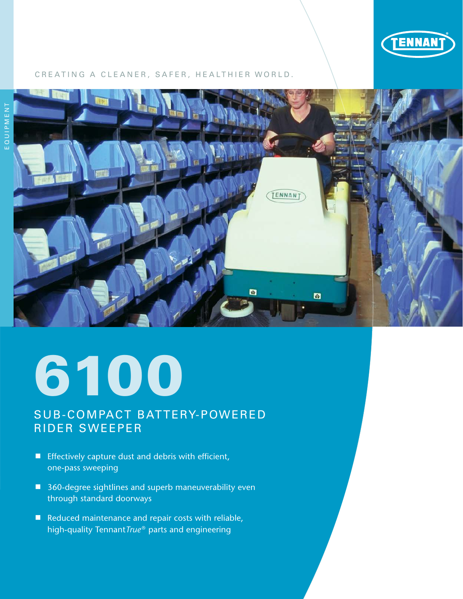

### CREATING A CLEANER, SAFER, HEALTHIER WORLD.



# 6100

# SUB-COMPACT BATTERY-POWERED RIDER SWEEPER

- **E** Effectively capture dust and debris with efficient, one-pass sweeping
- 360-degree sightlines and superb maneuverability even through standard doorways
- Reduced maintenance and repair costs with reliable, high-quality Tennant*True* ® parts and engineering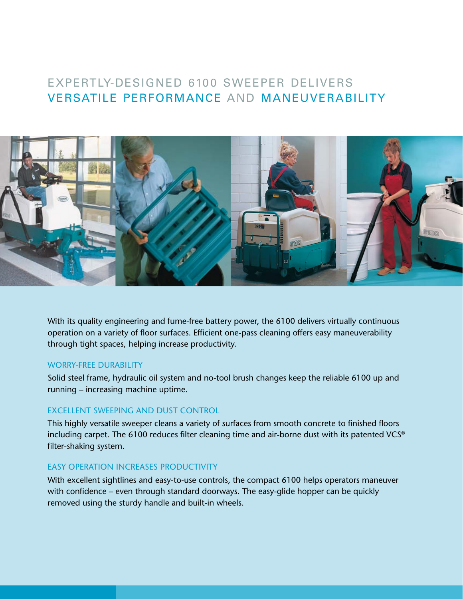# EXPERTLY-DESIGNED 6100 SWEEPER DELIVERS VERSATILE PERFORMANCE AND MANEUVERABILITY



With its quality engineering and fume-free battery power, the 6100 delivers virtually continuous operation on a variety of floor surfaces. Efficient one-pass cleaning offers easy maneuverability through tight spaces, helping increase productivity.

#### WORRY-FREE DURABILITY

Solid steel frame, hydraulic oil system and no-tool brush changes keep the reliable 6100 up and running – increasing machine uptime.

#### EXCELLENT SWEEPING AND DUST CONTROL

This highly versatile sweeper cleans a variety of surfaces from smooth concrete to finished floors including carpet. The 6100 reduces filter cleaning time and air-borne dust with its patented VCS® filter-shaking system.

#### EASY OPERATION INCREASES PRODUCTIVITY

With excellent sightlines and easy-to-use controls, the compact 6100 helps operators maneuver with confidence – even through standard doorways. The easy-glide hopper can be quickly removed using the sturdy handle and built-in wheels.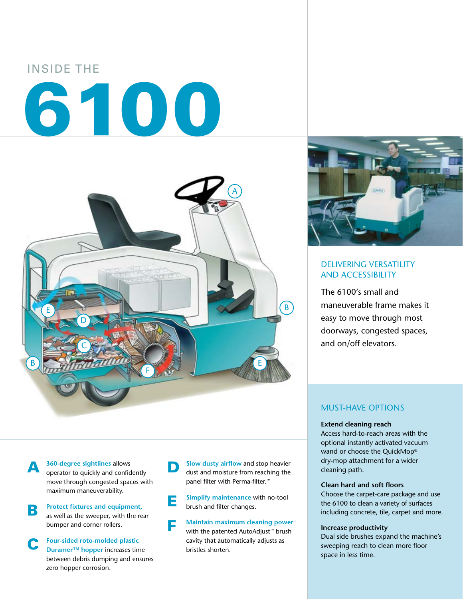

**A** 360-degree sightlines allows<br>operator to quickly and confidently move through congested spaces with maximum maneuverability.

**B Protect fixtures and equipment,** as well as the sweeper, with the rear bumper and corner rollers.

C **Four-sided roto-molded plastic Duramer™ hopper** increases time between debris dumping and ensures zero hopper corrosion.

**D** Slow dusty airflow and stop heavier dust and moisture from reaching the panel filter with Perma-filter.<sup>™</sup>

**E** Simplify maintenance with no-tool brush and filter changes.

F **Maintain maximum cleaning power**  with the patented AutoAdjust™ brush cavity that automatically adjusts as bristles shorten.



## DELIVERING VERSATILITY AND ACCESSIBILITY

The 6100's small and maneuverable frame makes it easy to move through most doorways, congested spaces, and on/off elevators.

## MUST-HAVE OPTIONS

#### **Extend cleaning reach**

Access hard-to-reach areas with the optional instantly activated vacuum wand or choose the QuickMop® dry-mop attachment for a wider cleaning path.

#### **Clean hard and soft floors**

Choose the carpet-care package and use the 6100 to clean a variety of surfaces including concrete, tile, carpet and more.

#### **Increase productivity**

Dual side brushes expand the machine's sweeping reach to clean more floor space in less time.